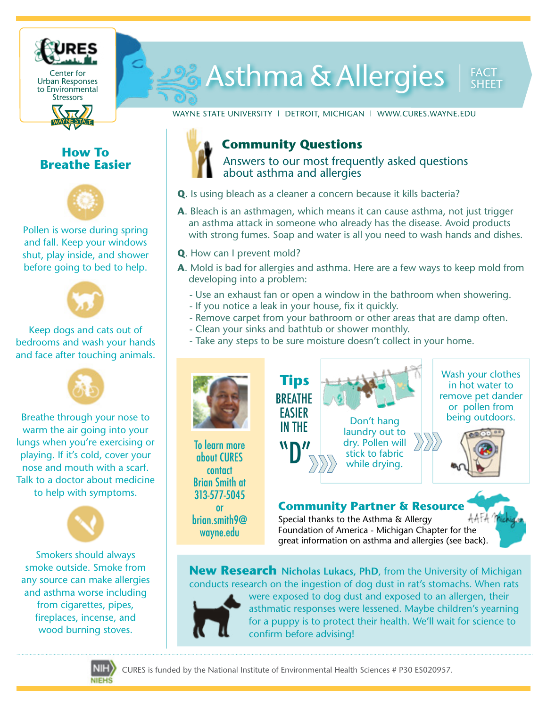

# 20% Asthma & Allergies

WAYNE STATE UNIVERSITY | DETROIT, MICHIGAN | WWW.CURES.WAYNE.EDU

## **How To Breathe Easier**



Pollen is worse during spring and fall. Keep your windows shut, play inside, and shower before going to bed to help.



### Keep dogs and cats out of bedrooms and wash your hands and face after touching animals.



Breathe through your nose to warm the air going into your lungs when you're exercising or playing. If it's cold, cover your nose and mouth with a scarf. Talk to a doctor about medicine to help with symptoms.



Smokers should always smoke outside. Smoke from any source can make allergies and asthma worse including from cigarettes, pipes, fireplaces, incense, and wood burning stoves.

## **Community Questions**

Answers to our most frequently asked questions about asthma and allergies

- **Q**. Is using bleach as a cleaner a concern because it kills bacteria?
- **A**. Bleach is an asthmagen, which means it can cause asthma, not just trigger an asthma attack in someone who already has the disease. Avoid products with strong fumes. Soap and water is all you need to wash hands and dishes.
- **Q**. How can I prevent mold?
- **A**. Mold is bad for allergies and asthma. Here are a few ways to keep mold from developing into a problem:
	- Use an exhaust fan or open a window in the bathroom when showering.
	- If you notice a leak in your house, fix it quickly.
	- Remove carpet from your bathroom or other areas that are damp often.
	- Clean your sinks and bathtub or shower monthly.
	- Take any steps to be sure moisture doesn't collect in your home.



To learn more about CURES contact Brian Smith at 313-577-5045 or brian.smith9@ wayne.edu



Wash your clothes in hot water to remove pet dander or pollen from



## **Community Partner & Resource**

Special thanks to the Asthma & Allergy Foundation of America - Michigan Chapter for the great information on asthma and allergies (see back).

**New Research Nicholas Lukacs, PhD**, from the University of Michigan conducts research on the ingestion of dog dust in rat's stomachs. When rats



were exposed to dog dust and exposed to an allergen, their asthmatic responses were lessened. Maybe children's yearning for a puppy is to protect their health. We'll wait for science to confirm before advising!



CURES is funded by the National Institute of Environmental Health Sciences # P30 ES020957.